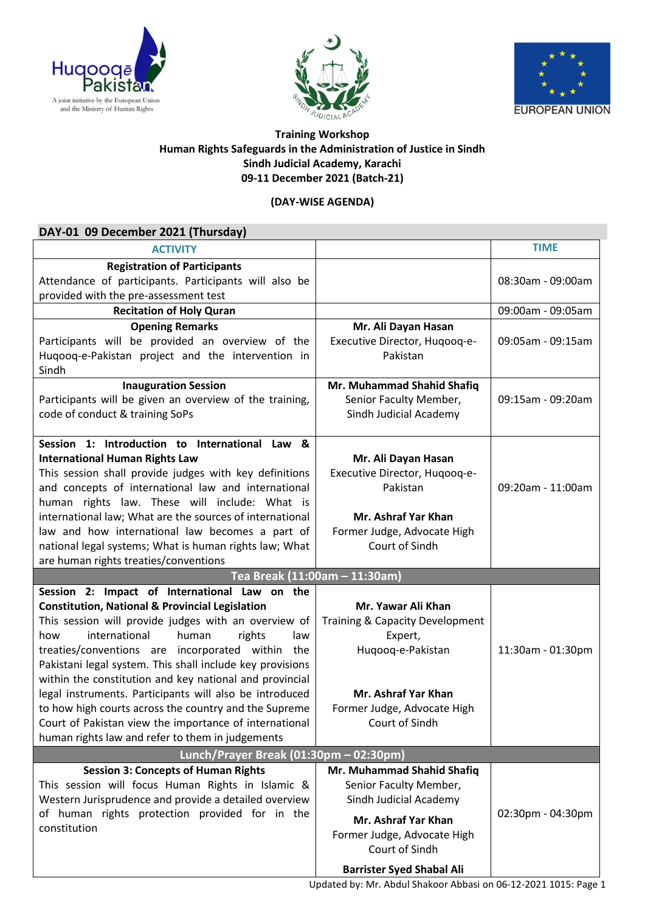





## **Training Workshop Human Rights Safeguards in the Administration of Justice in Sindh Sindh Judicial Academy, Karachi 09-11 December 2021 (Batch-21)**

## **(DAY-WISE AGENDA)**

| DAY-01 09 December 2021 (Thursday)                                                                                                    |                                                  |                   |
|---------------------------------------------------------------------------------------------------------------------------------------|--------------------------------------------------|-------------------|
| <b>ACTIVITY</b>                                                                                                                       |                                                  | <b>TIME</b>       |
| <b>Registration of Participants</b><br>Attendance of participants. Participants will also be<br>provided with the pre-assessment test |                                                  | 08:30am - 09:00am |
| <b>Recitation of Holy Quran</b>                                                                                                       |                                                  | 09:00am - 09:05am |
| <b>Opening Remarks</b>                                                                                                                | Mr. Ali Dayan Hasan                              |                   |
| Participants will be provided an overview of the<br>Huqooq-e-Pakistan project and the intervention in<br>Sindh                        | Executive Director, Hugoog-e-<br>Pakistan        | 09:05am - 09:15am |
| <b>Inauguration Session</b>                                                                                                           | Mr. Muhammad Shahid Shafiq                       |                   |
| Participants will be given an overview of the training,<br>code of conduct & training SoPs                                            | Senior Faculty Member,<br>Sindh Judicial Academy | 09:15am - 09:20am |
| Session 1: Introduction to International Law<br>84                                                                                    |                                                  |                   |
| <b>International Human Rights Law</b>                                                                                                 | Mr. Ali Dayan Hasan                              |                   |
| This session shall provide judges with key definitions                                                                                | Executive Director, Hugoog-e-                    |                   |
| and concepts of international law and international                                                                                   | Pakistan                                         | 09:20am - 11:00am |
| human rights law. These will include: What is                                                                                         |                                                  |                   |
| international law; What are the sources of international                                                                              | Mr. Ashraf Yar Khan                              |                   |
| law and how international law becomes a part of                                                                                       | Former Judge, Advocate High                      |                   |
| national legal systems; What is human rights law; What                                                                                | Court of Sindh                                   |                   |
| are human rights treaties/conventions<br>Tea Break (11:00am - 11:30am)                                                                |                                                  |                   |
| Session 2: Impact of International Law on the                                                                                         |                                                  |                   |
| <b>Constitution, National &amp; Provincial Legislation</b>                                                                            | Mr. Yawar Ali Khan                               |                   |
| This session will provide judges with an overview of                                                                                  | Training & Capacity Development                  |                   |
| international<br>human<br>rights<br>how<br>law                                                                                        | Expert,                                          |                   |
| treaties/conventions are incorporated within the                                                                                      | Huqooq-e-Pakistan                                | 11:30am - 01:30pm |
| Pakistani legal system. This shall include key provisions<br>within the constitution and key national and provincial                  |                                                  |                   |
| legal instruments. Participants will also be introduced                                                                               | Mr. Ashraf Yar Khan                              |                   |
| to how high courts across the country and the Supreme                                                                                 | Former Judge, Advocate High                      |                   |
| Court of Pakistan view the importance of international                                                                                | Court of Sindh                                   |                   |
| human rights law and refer to them in judgements                                                                                      |                                                  |                   |
| Lunch/Prayer Break (01:30pm - 02:30pm)                                                                                                |                                                  |                   |
| <b>Session 3: Concepts of Human Rights</b>                                                                                            | Mr. Muhammad Shahid Shafiq                       |                   |
| This session will focus Human Rights in Islamic &                                                                                     | Senior Faculty Member,                           |                   |
| Western Jurisprudence and provide a detailed overview                                                                                 | Sindh Judicial Academy                           |                   |
| of human rights protection provided for in the                                                                                        | Mr. Ashraf Yar Khan                              | 02:30pm - 04:30pm |
| constitution                                                                                                                          | Former Judge, Advocate High                      |                   |
|                                                                                                                                       | Court of Sindh                                   |                   |
|                                                                                                                                       | <b>Barrister Syed Shabal Ali</b>                 |                   |

Updated by: Mr. Abdul Shakoor Abbasi on 06-12-2021 1015: Page 1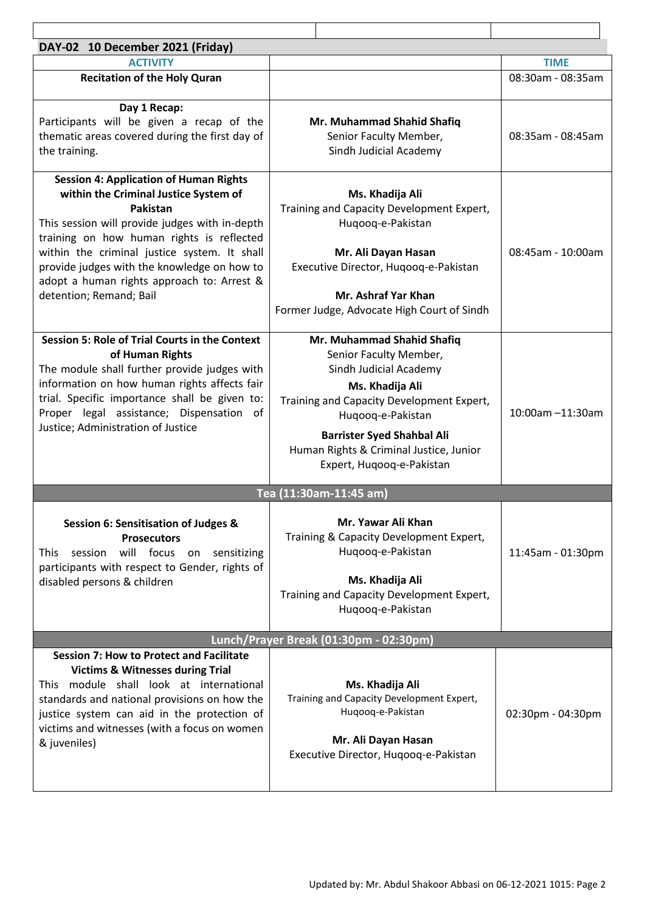| DAY-02 10 December 2021 (Friday)                                                                                                                                                                                                                                                                                                                                          |                                                                                                                                                                                                                                                                                  |                   |  |  |
|---------------------------------------------------------------------------------------------------------------------------------------------------------------------------------------------------------------------------------------------------------------------------------------------------------------------------------------------------------------------------|----------------------------------------------------------------------------------------------------------------------------------------------------------------------------------------------------------------------------------------------------------------------------------|-------------------|--|--|
| <b>ACTIVITY</b>                                                                                                                                                                                                                                                                                                                                                           |                                                                                                                                                                                                                                                                                  | <b>TIME</b>       |  |  |
| <b>Recitation of the Holy Quran</b>                                                                                                                                                                                                                                                                                                                                       |                                                                                                                                                                                                                                                                                  | 08:30am - 08:35am |  |  |
| Day 1 Recap:<br>Participants will be given a recap of the<br>thematic areas covered during the first day of<br>the training.                                                                                                                                                                                                                                              | Mr. Muhammad Shahid Shafiq<br>Senior Faculty Member,<br>Sindh Judicial Academy                                                                                                                                                                                                   | 08:35am - 08:45am |  |  |
| <b>Session 4: Application of Human Rights</b><br>within the Criminal Justice System of<br>Pakistan<br>This session will provide judges with in-depth<br>training on how human rights is reflected<br>within the criminal justice system. It shall<br>provide judges with the knowledge on how to<br>adopt a human rights approach to: Arrest &<br>detention; Remand; Bail | Ms. Khadija Ali<br>Training and Capacity Development Expert,<br>Huqooq-e-Pakistan<br>Mr. Ali Dayan Hasan<br>Executive Director, Hugoog-e-Pakistan<br>Mr. Ashraf Yar Khan<br>Former Judge, Advocate High Court of Sindh                                                           | 08:45am - 10:00am |  |  |
| <b>Session 5: Role of Trial Courts in the Context</b><br>of Human Rights<br>The module shall further provide judges with<br>information on how human rights affects fair<br>trial. Specific importance shall be given to:<br>Proper legal assistance; Dispensation of<br>Justice; Administration of Justice                                                               | Mr. Muhammad Shahid Shafiq<br>Senior Faculty Member,<br>Sindh Judicial Academy<br>Ms. Khadija Ali<br>Training and Capacity Development Expert,<br>Huqooq-e-Pakistan<br><b>Barrister Syed Shahbal Ali</b><br>Human Rights & Criminal Justice, Junior<br>Expert, Hugoog-e-Pakistan | 10:00am -11:30am  |  |  |
| Tea (11:30am-11:45 am)                                                                                                                                                                                                                                                                                                                                                    |                                                                                                                                                                                                                                                                                  |                   |  |  |
| Session 6: Sensitisation of Judges &<br><b>Prosecutors</b><br>will focus on sensitizing<br>session<br><b>This</b><br>participants with respect to Gender, rights of<br>disabled persons & children                                                                                                                                                                        | Mr. Yawar Ali Khan<br>Training & Capacity Development Expert,<br>Hugoog-e-Pakistan<br>Ms. Khadija Ali<br>Training and Capacity Development Expert,<br>Huqooq-e-Pakistan                                                                                                          | 11:45am - 01:30pm |  |  |
| Lunch/Prayer Break (01:30pm - 02:30pm)                                                                                                                                                                                                                                                                                                                                    |                                                                                                                                                                                                                                                                                  |                   |  |  |
| <b>Session 7: How to Protect and Facilitate</b><br><b>Victims &amp; Witnesses during Trial</b><br>This module shall look at international<br>standards and national provisions on how the<br>justice system can aid in the protection of<br>victims and witnesses (with a focus on women<br>& juveniles)                                                                  | Ms. Khadija Ali<br>Training and Capacity Development Expert,<br>Huqooq-e-Pakistan<br>Mr. Ali Dayan Hasan<br>Executive Director, Hugoog-e-Pakistan                                                                                                                                | 02:30pm - 04:30pm |  |  |